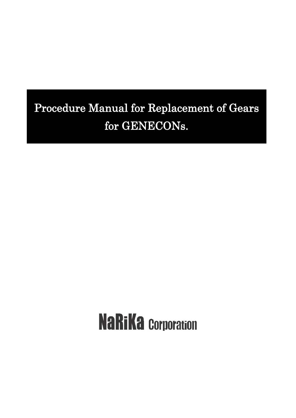## Procedure Manual for Replacement of Gears for GENECONs.

# **NaRiKa Corporation**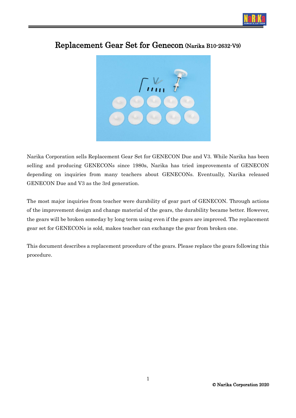



#### Replacement Gear Set for Genecon (Narika B10-2632-V9)

Narika Corporation sells Replacement Gear Set for GENECON Due and V3. While Narika has been selling and producing GENECONs since 1980s, Narika has tried improvements of GENECON depending on inquiries from many teachers about GENECONs. Eventually, Narika released GENECON Due and V3 as the 3rd generation.

The most major inquiries from teacher were durability of gear part of GENECON. Through actions of the improvement design and change material of the gears, the durability became better. However, the gears will be broken someday by long term using even if the gears are improved. The replacement gear set for GENECONs is sold, makes teacher can exchange the gear from broken one.

This document describes a replacement procedure of the gears. Please replace the gears following this procedure.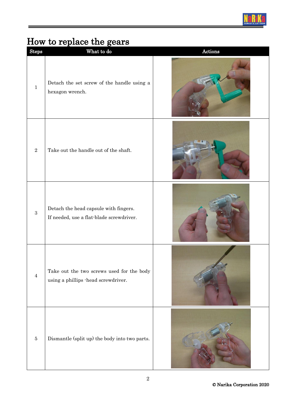

### How to replace the gears

| Steps        | What to do                                                                        | $\Large {\bf Actions}$ |
|--------------|-----------------------------------------------------------------------------------|------------------------|
| $\mathbf{1}$ | Detach the set screw of the handle using a<br>hexagon wrench.                     |                        |
| $\sqrt{2}$   | Take out the handle out of the shaft.                                             |                        |
| $\mathbf{3}$ | Detach the head capsule with fingers.<br>If needed, use a flat-blade screwdriver. |                        |
| $\sqrt{4}$   | Take out the two screws used for the body<br>using a phillips -head screwdriver.  |                        |
| $\bf 5$      | Dismantle (split up) the body into two parts.                                     |                        |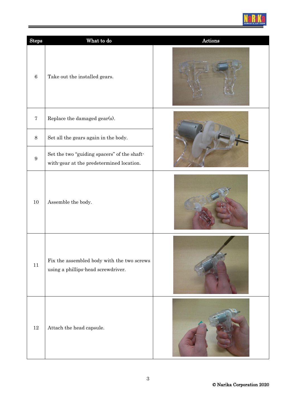

| <b>Steps</b>     | What to do                                                                              | Actions |
|------------------|-----------------------------------------------------------------------------------------|---------|
| $\,6\,$          | Take out the installed gears.                                                           |         |
| $\bf 7$          | Replace the damaged gear(s).                                                            |         |
| $\,8\,$          | Set all the gears again in the body.                                                    |         |
| $\boldsymbol{9}$ | Set the two "guiding spacers" of the shaft-<br>with-gear at the predetermined location. |         |
| $10\,$           | Assemble the body.                                                                      |         |
| $11\,$           | Fix the assembled body with the two screws<br>using a phillips-head screwdriver.        |         |
| $12\,$           | Attach the head capsule.                                                                |         |